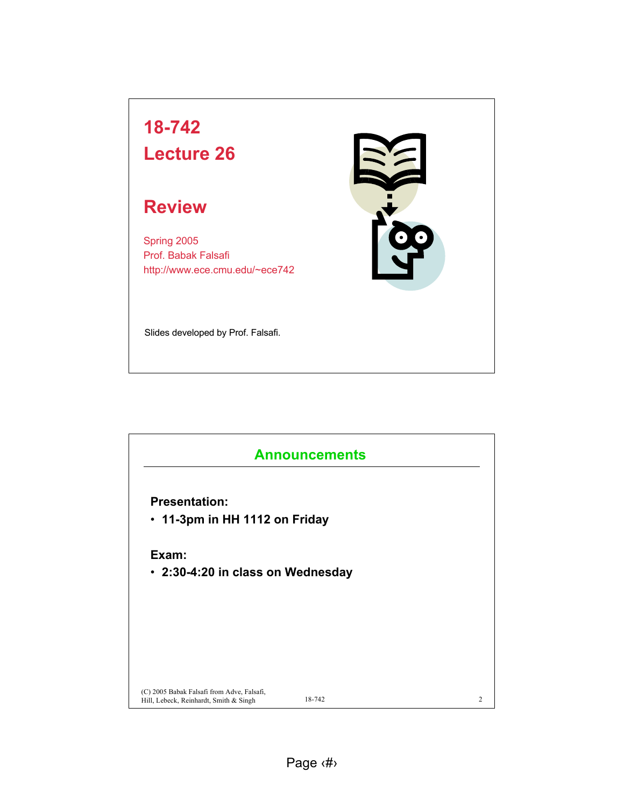

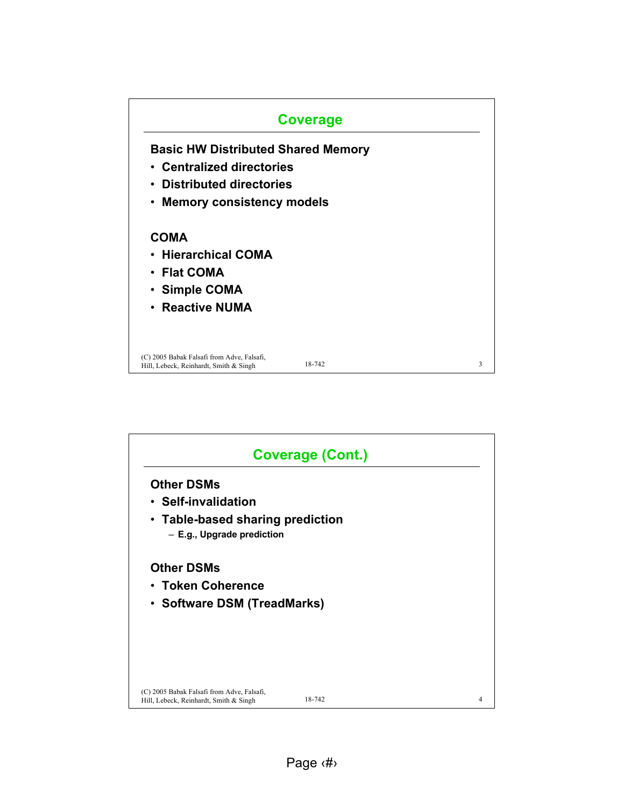

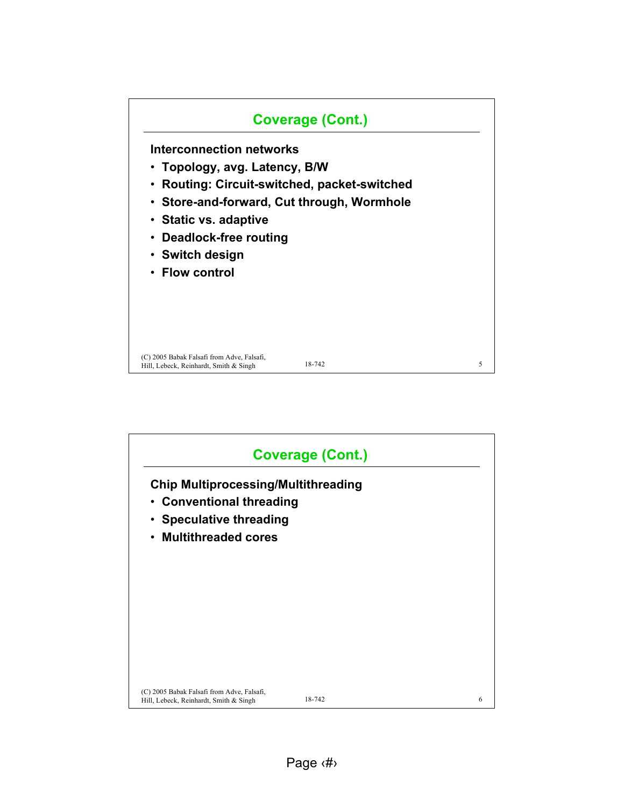